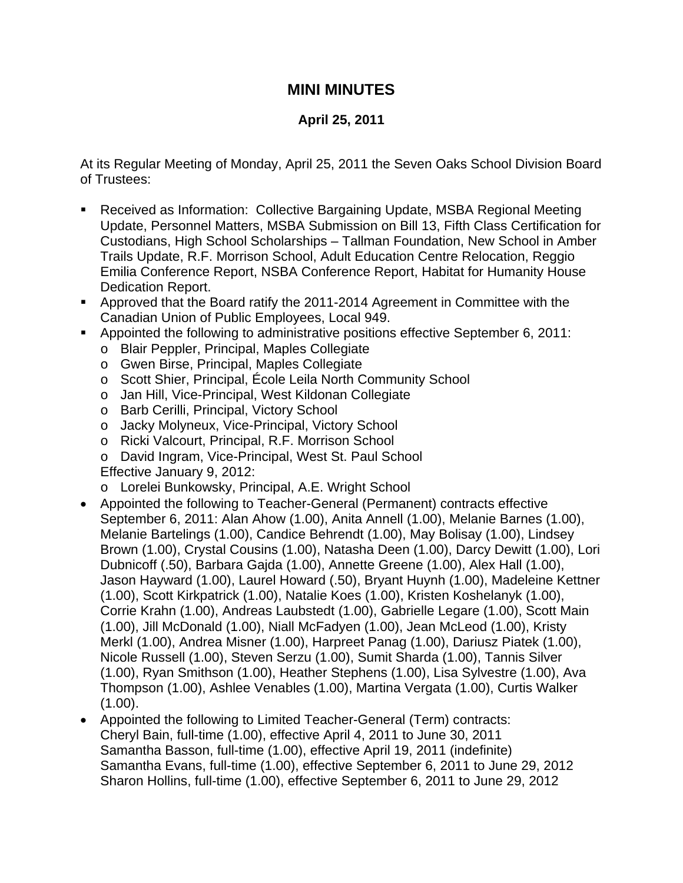## **MINI MINUTES**

## **April 25, 2011**

At its Regular Meeting of Monday, April 25, 2011 the Seven Oaks School Division Board of Trustees:

- Received as Information: Collective Bargaining Update, MSBA Regional Meeting Update, Personnel Matters, MSBA Submission on Bill 13, Fifth Class Certification for Custodians, High School Scholarships – Tallman Foundation, New School in Amber Trails Update, R.F. Morrison School, Adult Education Centre Relocation, Reggio Emilia Conference Report, NSBA Conference Report, Habitat for Humanity House Dedication Report.
- Approved that the Board ratify the 2011-2014 Agreement in Committee with the Canadian Union of Public Employees, Local 949.
- **Appointed the following to administrative positions effective September 6, 2011:** 
	- o Blair Peppler, Principal, Maples Collegiate
	- o Gwen Birse, Principal, Maples Collegiate
	- o Scott Shier, Principal, École Leila North Community School
	- o Jan Hill, Vice-Principal, West Kildonan Collegiate
	- o Barb Cerilli, Principal, Victory School
	- o Jacky Molyneux, Vice-Principal, Victory School
	- o Ricki Valcourt, Principal, R.F. Morrison School
	- o David Ingram, Vice-Principal, West St. Paul School
	- Effective January 9, 2012:
	- o Lorelei Bunkowsky, Principal, A.E. Wright School
- Appointed the following to Teacher-General (Permanent) contracts effective September 6, 2011: Alan Ahow (1.00), Anita Annell (1.00), Melanie Barnes (1.00), Melanie Bartelings (1.00), Candice Behrendt (1.00), May Bolisay (1.00), Lindsey Brown (1.00), Crystal Cousins (1.00), Natasha Deen (1.00), Darcy Dewitt (1.00), Lori Dubnicoff (.50), Barbara Gajda (1.00), Annette Greene (1.00), Alex Hall (1.00), Jason Hayward (1.00), Laurel Howard (.50), Bryant Huynh (1.00), Madeleine Kettner (1.00), Scott Kirkpatrick (1.00), Natalie Koes (1.00), Kristen Koshelanyk (1.00), Corrie Krahn (1.00), Andreas Laubstedt (1.00), Gabrielle Legare (1.00), Scott Main (1.00), Jill McDonald (1.00), Niall McFadyen (1.00), Jean McLeod (1.00), Kristy Merkl (1.00), Andrea Misner (1.00), Harpreet Panag (1.00), Dariusz Piatek (1.00), Nicole Russell (1.00), Steven Serzu (1.00), Sumit Sharda (1.00), Tannis Silver (1.00), Ryan Smithson (1.00), Heather Stephens (1.00), Lisa Sylvestre (1.00), Ava Thompson (1.00), Ashlee Venables (1.00), Martina Vergata (1.00), Curtis Walker  $(1.00)$ .
- Appointed the following to Limited Teacher-General (Term) contracts: Cheryl Bain, full-time (1.00), effective April 4, 2011 to June 30, 2011 Samantha Basson, full-time (1.00), effective April 19, 2011 (indefinite) Samantha Evans, full-time (1.00), effective September 6, 2011 to June 29, 2012 Sharon Hollins, full-time (1.00), effective September 6, 2011 to June 29, 2012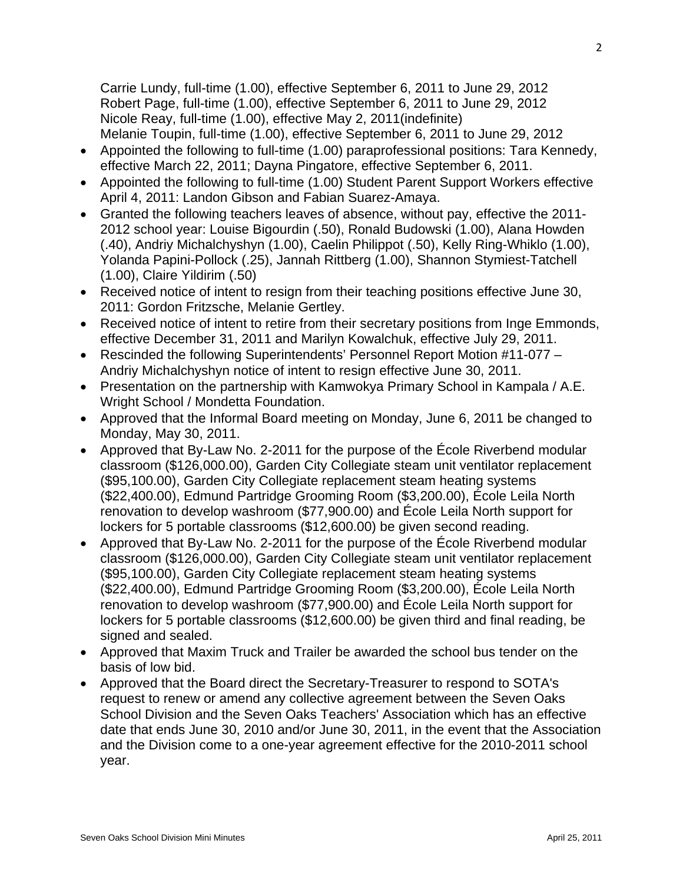Carrie Lundy, full-time (1.00), effective September 6, 2011 to June 29, 2012 Robert Page, full-time (1.00), effective September 6, 2011 to June 29, 2012 Nicole Reay, full-time (1.00), effective May 2, 2011(indefinite) Melanie Toupin, full-time (1.00), effective September 6, 2011 to June 29, 2012

- Appointed the following to full-time (1.00) paraprofessional positions: Tara Kennedy, effective March 22, 2011; Dayna Pingatore, effective September 6, 2011.
- Appointed the following to full-time (1.00) Student Parent Support Workers effective April 4, 2011: Landon Gibson and Fabian Suarez-Amaya.
- Granted the following teachers leaves of absence, without pay, effective the 2011- 2012 school year: Louise Bigourdin (.50), Ronald Budowski (1.00), Alana Howden (.40), Andriy Michalchyshyn (1.00), Caelin Philippot (.50), Kelly Ring-Whiklo (1.00), Yolanda Papini-Pollock (.25), Jannah Rittberg (1.00), Shannon Stymiest-Tatchell (1.00), Claire Yildirim (.50)
- Received notice of intent to resign from their teaching positions effective June 30, 2011: Gordon Fritzsche, Melanie Gertley.
- Received notice of intent to retire from their secretary positions from Inge Emmonds, effective December 31, 2011 and Marilyn Kowalchuk, effective July 29, 2011.
- Rescinded the following Superintendents' Personnel Report Motion #11-077 Andriy Michalchyshyn notice of intent to resign effective June 30, 2011.
- Presentation on the partnership with Kamwokya Primary School in Kampala / A.E. Wright School / Mondetta Foundation.
- Approved that the Informal Board meeting on Monday, June 6, 2011 be changed to Monday, May 30, 2011.
- Approved that By-Law No. 2-2011 for the purpose of the École Riverbend modular classroom (\$126,000.00), Garden City Collegiate steam unit ventilator replacement (\$95,100.00), Garden City Collegiate replacement steam heating systems (\$22,400.00), Edmund Partridge Grooming Room (\$3,200.00), École Leila North renovation to develop washroom (\$77,900.00) and École Leila North support for lockers for 5 portable classrooms (\$12,600.00) be given second reading.
- Approved that By-Law No. 2-2011 for the purpose of the École Riverbend modular classroom (\$126,000.00), Garden City Collegiate steam unit ventilator replacement (\$95,100.00), Garden City Collegiate replacement steam heating systems (\$22,400.00), Edmund Partridge Grooming Room (\$3,200.00), École Leila North renovation to develop washroom (\$77,900.00) and École Leila North support for lockers for 5 portable classrooms (\$12,600.00) be given third and final reading, be signed and sealed.
- Approved that Maxim Truck and Trailer be awarded the school bus tender on the basis of low bid.
- Approved that the Board direct the Secretary-Treasurer to respond to SOTA's request to renew or amend any collective agreement between the Seven Oaks School Division and the Seven Oaks Teachers' Association which has an effective date that ends June 30, 2010 and/or June 30, 2011, in the event that the Association and the Division come to a one-year agreement effective for the 2010-2011 school year.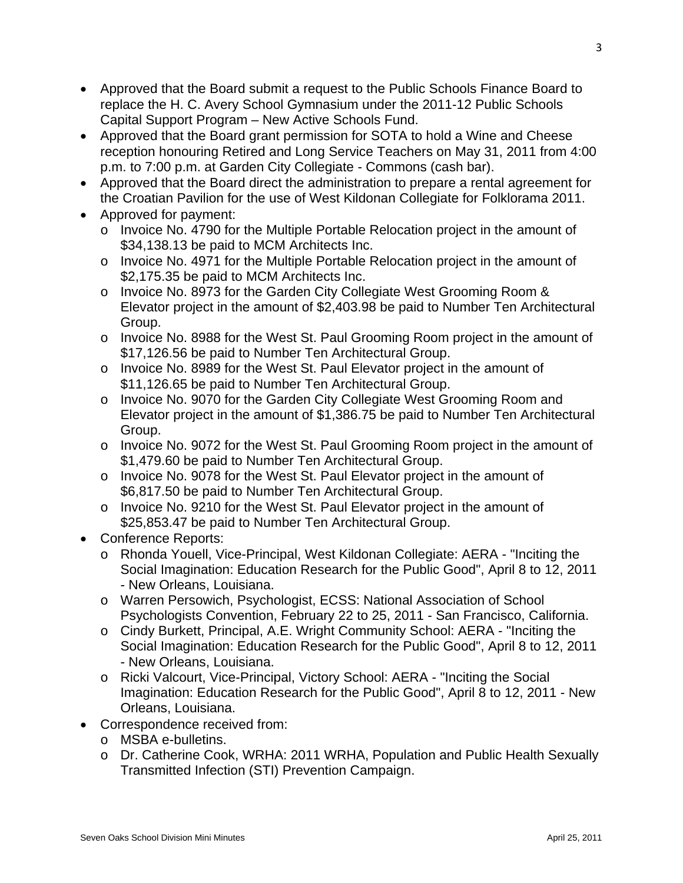- Approved that the Board submit a request to the Public Schools Finance Board to replace the H. C. Avery School Gymnasium under the 2011-12 Public Schools Capital Support Program – New Active Schools Fund.
- Approved that the Board grant permission for SOTA to hold a Wine and Cheese reception honouring Retired and Long Service Teachers on May 31, 2011 from 4:00 p.m. to 7:00 p.m. at Garden City Collegiate - Commons (cash bar).
- Approved that the Board direct the administration to prepare a rental agreement for the Croatian Pavilion for the use of West Kildonan Collegiate for Folklorama 2011.
- Approved for payment:
	- o Invoice No. 4790 for the Multiple Portable Relocation project in the amount of \$34,138.13 be paid to MCM Architects Inc.
	- o Invoice No. 4971 for the Multiple Portable Relocation project in the amount of \$2,175.35 be paid to MCM Architects Inc.
	- o Invoice No. 8973 for the Garden City Collegiate West Grooming Room & Elevator project in the amount of \$2,403.98 be paid to Number Ten Architectural Group.
	- o Invoice No. 8988 for the West St. Paul Grooming Room project in the amount of \$17,126.56 be paid to Number Ten Architectural Group.
	- o Invoice No. 8989 for the West St. Paul Elevator project in the amount of \$11,126.65 be paid to Number Ten Architectural Group.
	- o Invoice No. 9070 for the Garden City Collegiate West Grooming Room and Elevator project in the amount of \$1,386.75 be paid to Number Ten Architectural Group.
	- o Invoice No. 9072 for the West St. Paul Grooming Room project in the amount of \$1,479.60 be paid to Number Ten Architectural Group.
	- o Invoice No. 9078 for the West St. Paul Elevator project in the amount of \$6,817.50 be paid to Number Ten Architectural Group.
	- $\circ$  Invoice No. 9210 for the West St. Paul Elevator project in the amount of \$25,853.47 be paid to Number Ten Architectural Group.
- Conference Reports:
	- o Rhonda Youell, Vice-Principal, West Kildonan Collegiate: AERA "Inciting the Social Imagination: Education Research for the Public Good", April 8 to 12, 2011 - New Orleans, Louisiana.
	- o Warren Persowich, Psychologist, ECSS: National Association of School Psychologists Convention, February 22 to 25, 2011 - San Francisco, California.
	- o Cindy Burkett, Principal, A.E. Wright Community School: AERA "Inciting the Social Imagination: Education Research for the Public Good", April 8 to 12, 2011 - New Orleans, Louisiana.
	- o Ricki Valcourt, Vice-Principal, Victory School: AERA "Inciting the Social Imagination: Education Research for the Public Good", April 8 to 12, 2011 - New Orleans, Louisiana.
- Correspondence received from:
	- o MSBA e-bulletins.
	- o Dr. Catherine Cook, WRHA: 2011 WRHA, Population and Public Health Sexually Transmitted Infection (STI) Prevention Campaign.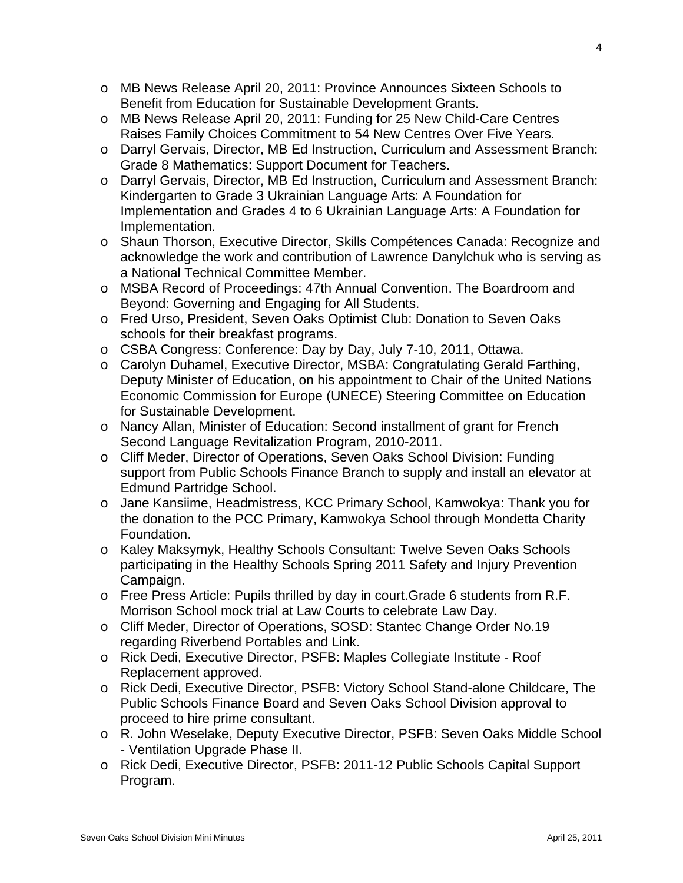- o MB News Release April 20, 2011: Province Announces Sixteen Schools to Benefit from Education for Sustainable Development Grants.
- o MB News Release April 20, 2011: Funding for 25 New Child-Care Centres Raises Family Choices Commitment to 54 New Centres Over Five Years.
- o Darryl Gervais, Director, MB Ed Instruction, Curriculum and Assessment Branch: Grade 8 Mathematics: Support Document for Teachers.
- o Darryl Gervais, Director, MB Ed Instruction, Curriculum and Assessment Branch: Kindergarten to Grade 3 Ukrainian Language Arts: A Foundation for Implementation and Grades 4 to 6 Ukrainian Language Arts: A Foundation for Implementation.
- o Shaun Thorson, Executive Director, Skills Compétences Canada: Recognize and acknowledge the work and contribution of Lawrence Danylchuk who is serving as a National Technical Committee Member.
- o MSBA Record of Proceedings: 47th Annual Convention. The Boardroom and Beyond: Governing and Engaging for All Students.
- o Fred Urso, President, Seven Oaks Optimist Club: Donation to Seven Oaks schools for their breakfast programs.
- o CSBA Congress: Conference: Day by Day, July 7-10, 2011, Ottawa.
- o Carolyn Duhamel, Executive Director, MSBA: Congratulating Gerald Farthing, Deputy Minister of Education, on his appointment to Chair of the United Nations Economic Commission for Europe (UNECE) Steering Committee on Education for Sustainable Development.
- o Nancy Allan, Minister of Education: Second installment of grant for French Second Language Revitalization Program, 2010-2011.
- o Cliff Meder, Director of Operations, Seven Oaks School Division: Funding support from Public Schools Finance Branch to supply and install an elevator at Edmund Partridge School.
- o Jane Kansiime, Headmistress, KCC Primary School, Kamwokya: Thank you for the donation to the PCC Primary, Kamwokya School through Mondetta Charity Foundation.
- o Kaley Maksymyk, Healthy Schools Consultant: Twelve Seven Oaks Schools participating in the Healthy Schools Spring 2011 Safety and Injury Prevention Campaign.
- o Free Press Article: Pupils thrilled by day in court.Grade 6 students from R.F. Morrison School mock trial at Law Courts to celebrate Law Day.
- o Cliff Meder, Director of Operations, SOSD: Stantec Change Order No.19 regarding Riverbend Portables and Link.
- o Rick Dedi, Executive Director, PSFB: Maples Collegiate Institute Roof Replacement approved.
- o Rick Dedi, Executive Director, PSFB: Victory School Stand-alone Childcare, The Public Schools Finance Board and Seven Oaks School Division approval to proceed to hire prime consultant.
- o R. John Weselake, Deputy Executive Director, PSFB: Seven Oaks Middle School - Ventilation Upgrade Phase II.
- o Rick Dedi, Executive Director, PSFB: 2011-12 Public Schools Capital Support Program.